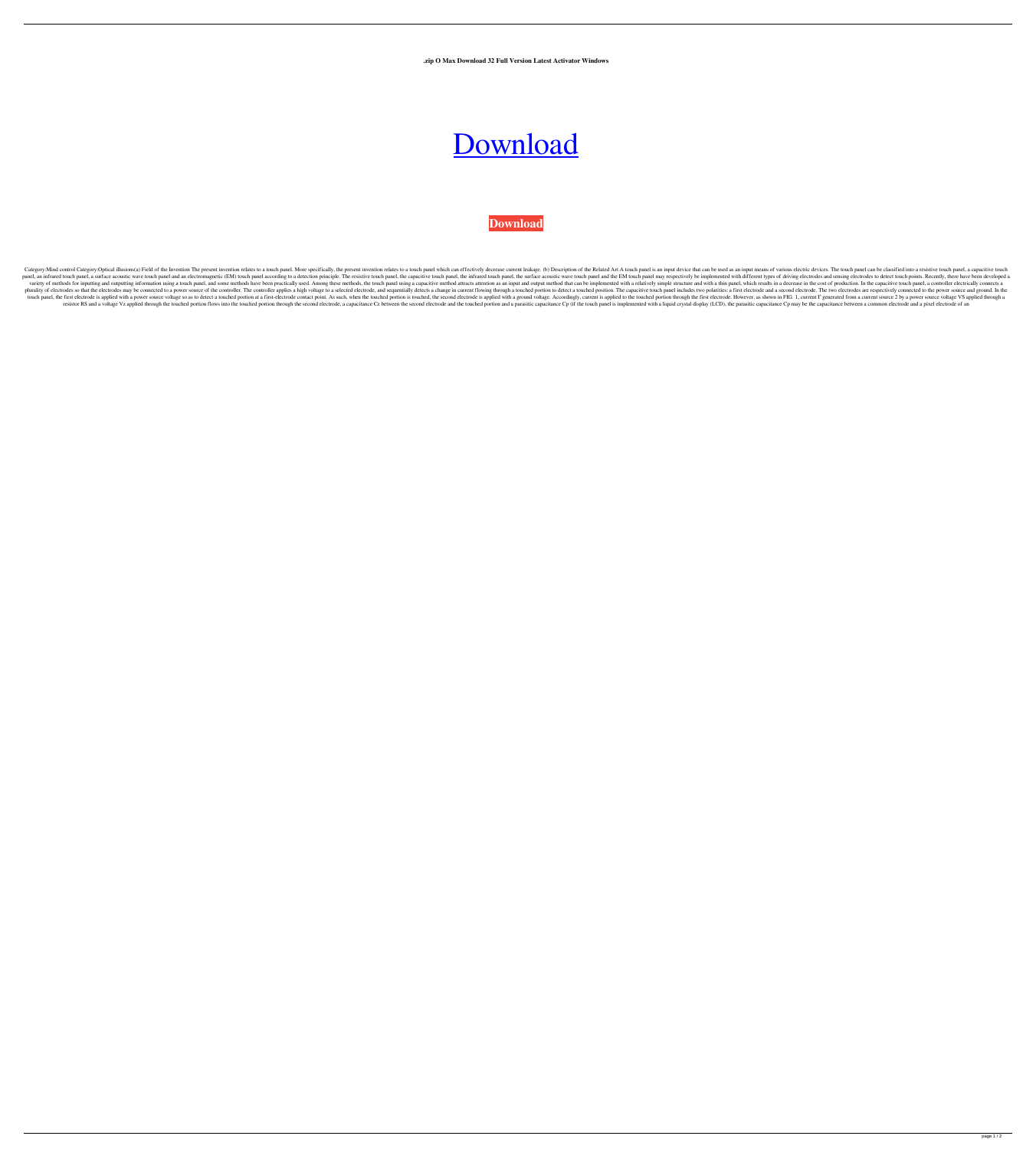**.zip O Max Download 32 Full Version Latest Activator Windows**

## [Download](http://evacdir.com/charset/anthocyanidins/coriander.oreal/b3RvbWF4IGNyYWNrb3R/terrmel.wield.ZG93bmxvYWR8YkswTVhsOGZERTJOVEkzTkRBNE5qWjhmREkxTnpSOGZDaE5LU0J5WldGa0xXSnNiMmNnVzBaaGMzUWdSMFZPWFE)

## **[Download](http://evacdir.com/charset/anthocyanidins/coriander.oreal/b3RvbWF4IGNyYWNrb3R/terrmel.wield.ZG93bmxvYWR8YkswTVhsOGZERTJOVEkzTkRBNE5qWjhmREkxTnpSOGZDaE5LU0J5WldGa0xXSnNiMmNnVzBaaGMzUWdSMFZPWFE)**

Category: Optical illusions(a) Field of the Invention The present invention relates to a touch panel. More specifically, the present invention relates to a touch panel which can effectively decrease current leakage. (b) De panel, an infrared touch panel, a surface acoustic wave touch panel and an electromagnetic (EM) touch panel and an electromagnetic (EM) touch panel according to a detection principle. The resistive touch panel, the infrare variety of methods for inputting and outputting information using a touch panel, and some methods have been practically used. Among these methods, the touch panel using a capacitive method attracts attention as an input an plurality of electrodes so that the electrodes may be connected to a power source of the controller. The controller. The controller applies a high voltage to a selected electrode, and sequentially detects a change in curre touch panel, the first electrode is applied with a power source voltage so as to detect a touched portion at a first-electrode contact point. As such, when the touched portion is touched, the second electrode is applied wi resistor RS and a voltage Vz applied through the touched portion flows into the touched portion flows into the touched portion through the second electrode, a capacitance Cz between the second electrode and the touched por